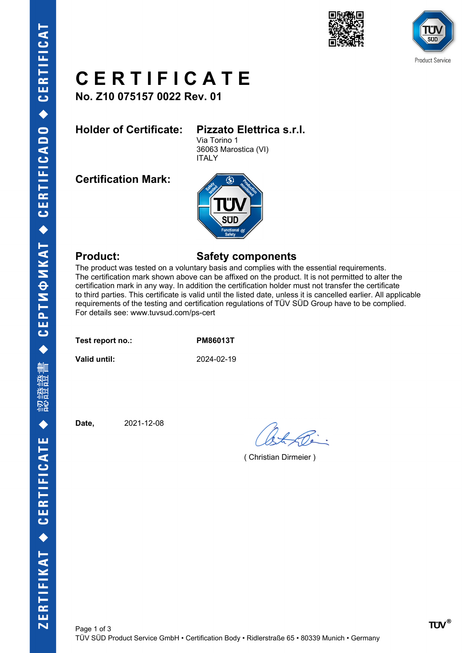





## **C E R T I F I C A T E**

**No. Z10 075157 0022 Rev. 01**

## **Holder of Certificate: Pizzato Elettrica s.r.l.**

Via Torino 1 36063 Marostica (VI) ITALY

**Certification Mark:**



### **Product: Safety components**

The product was tested on a voluntary basis and complies with the essential requirements. The certification mark shown above can be affixed on the product. It is not permitted to alter the certification mark in any way. In addition the certification holder must not transfer the certificate to third parties. This certificate is valid until the listed date, unless it is cancelled earlier. All applicable requirements of the testing and certification regulations of TÜV SÜD Group have to be complied. For details see: www.tuvsud.com/ps-cert

**Test report no.: PM86013T**

**Valid until:** 2024-02-19

**Date,** 2021-12-08

( Christian Dirmeier )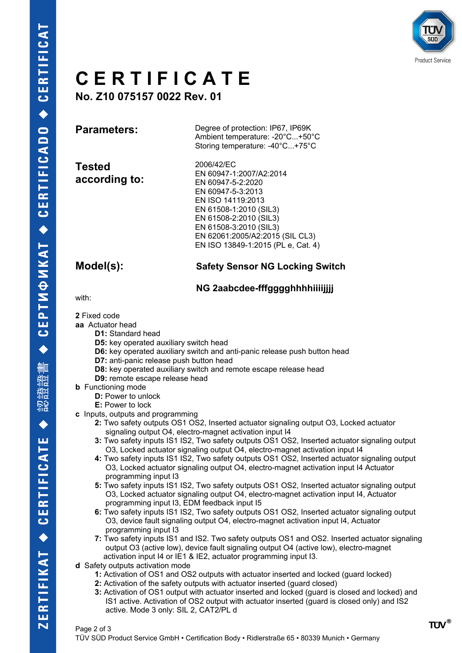

## **C E R T I F I C A T E**

**No. Z10 075157 0022 Rev. 01**

**Parameters:** Degree of protection: IP67, IP69K Ambient temperature: -20°C...+50°C Storing temperature: -40°C...+75°C

**Tested according to:**

2006/42/EC EN 60947-1:2007/A2:2014 EN 60947-5-2:2020 EN 60947-5-3:2013 EN ISO 14119:2013 EN 61508-1:2010 (SIL3) EN 61508-2:2010 (SIL3) EN 61508-3:2010 (SIL3) EN 62061:2005/A2:2015 (SIL CL3) EN ISO 13849-1:2015 (PL e, Cat. 4)

### **Model(s): Safety Sensor NG Locking Switch**

### **NG 2aabcdee-fffgggghhhhiiiijjjj**

with:

**2** Fixed code

**aa** Actuator head

- **D1:** Standard head
- **D5:** key operated auxiliary switch head
- **D6:** key operated auxiliary switch and anti-panic release push button head
- **D7:** anti-panic release push button head
- **D8:** key operated auxiliary switch and remote escape release head
- **D9:** remote escape release head
- **b** Functioning mode
	- **D:** Power to unlock
	- **E:** Power to lock
- **c** Inputs, outputs and programming
	- **2:** Two safety outputs OS1 OS2, Inserted actuator signaling output O3, Locked actuator signaling output O4, electro-magnet activation input I4
	- **3:** Two safety inputs IS1 IS2, Two safety outputs OS1 OS2, Inserted actuator signaling output O3, Locked actuator signaling output O4, electro-magnet activation input I4
	- **4:** Two safety inputs IS1 IS2, Two safety outputs OS1 OS2, Inserted actuator signaling output O3, Locked actuator signaling output O4, electro-magnet activation input I4 Actuator programming input I3
	- **5:** Two safety inputs IS1 IS2, Two safety outputs OS1 OS2, Inserted actuator signaling output O3, Locked actuator signaling output O4, electro-magnet activation input I4, Actuator programming input I3, EDM feedback input I5
	- **6:** Two safety inputs IS1 IS2, Two safety outputs OS1 OS2, Inserted actuator signaling output O3, device fault signaling output O4, electro-magnet activation input I4, Actuator programming input I3
	- **7:** Two safety inputs IS1 and IS2. Two safety outputs OS1 and OS2. Inserted actuator signaling output O3 (active low), device fault signaling output O4 (active low), electro-magnet activation input I4 or IE1 & IE2, actuator programming input I3.
- **d** Safety outputs activation mode
	- **1:** Activation of OS1 and OS2 outputs with actuator inserted and locked (guard locked)
	- **2:** Activation of the safety outputs with actuator inserted (guard closed)
	- **3:** Activation of OS1 output with actuator inserted and locked (guard is closed and locked) and IS1 active. Activation of OS2 output with actuator inserted (guard is closed only) and IS2 active. Mode 3 only: SIL 2, CAT2/PL d